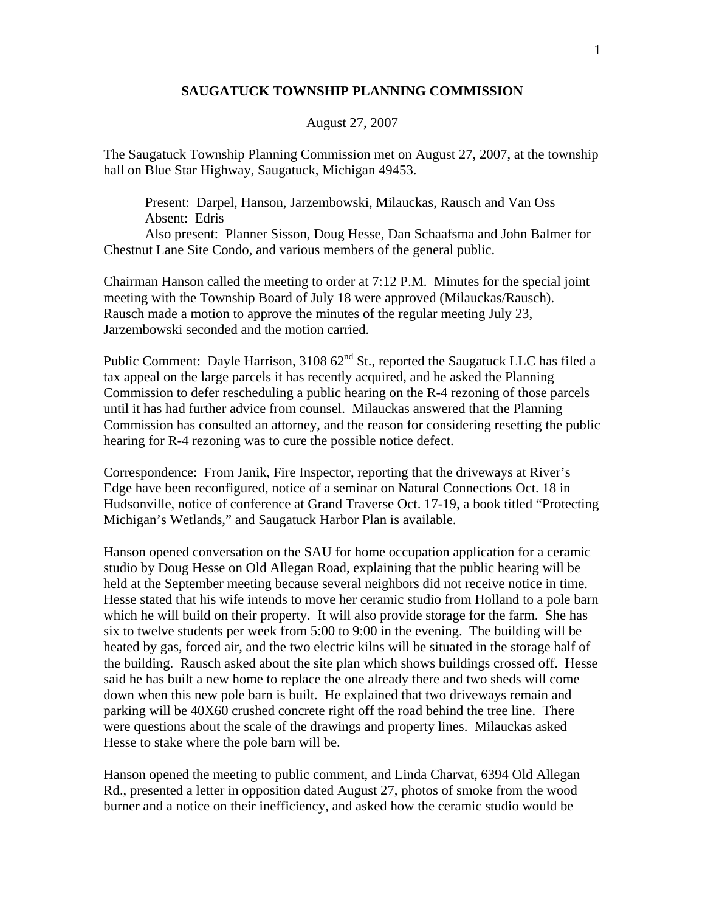## **SAUGATUCK TOWNSHIP PLANNING COMMISSION**

## August 27, 2007

The Saugatuck Township Planning Commission met on August 27, 2007, at the township hall on Blue Star Highway, Saugatuck, Michigan 49453.

 Present: Darpel, Hanson, Jarzembowski, Milauckas, Rausch and Van Oss Absent: Edris

 Also present: Planner Sisson, Doug Hesse, Dan Schaafsma and John Balmer for Chestnut Lane Site Condo, and various members of the general public.

Chairman Hanson called the meeting to order at 7:12 P.M. Minutes for the special joint meeting with the Township Board of July 18 were approved (Milauckas/Rausch). Rausch made a motion to approve the minutes of the regular meeting July 23, Jarzembowski seconded and the motion carried.

Public Comment: Dayle Harrison,  $310862<sup>nd</sup>$  St., reported the Saugatuck LLC has filed a tax appeal on the large parcels it has recently acquired, and he asked the Planning Commission to defer rescheduling a public hearing on the R-4 rezoning of those parcels until it has had further advice from counsel. Milauckas answered that the Planning Commission has consulted an attorney, and the reason for considering resetting the public hearing for R-4 rezoning was to cure the possible notice defect.

Correspondence: From Janik, Fire Inspector, reporting that the driveways at River's Edge have been reconfigured, notice of a seminar on Natural Connections Oct. 18 in Hudsonville, notice of conference at Grand Traverse Oct. 17-19, a book titled "Protecting Michigan's Wetlands," and Saugatuck Harbor Plan is available.

Hanson opened conversation on the SAU for home occupation application for a ceramic studio by Doug Hesse on Old Allegan Road, explaining that the public hearing will be held at the September meeting because several neighbors did not receive notice in time. Hesse stated that his wife intends to move her ceramic studio from Holland to a pole barn which he will build on their property. It will also provide storage for the farm. She has six to twelve students per week from 5:00 to 9:00 in the evening. The building will be heated by gas, forced air, and the two electric kilns will be situated in the storage half of the building. Rausch asked about the site plan which shows buildings crossed off. Hesse said he has built a new home to replace the one already there and two sheds will come down when this new pole barn is built. He explained that two driveways remain and parking will be 40X60 crushed concrete right off the road behind the tree line. There were questions about the scale of the drawings and property lines. Milauckas asked Hesse to stake where the pole barn will be.

Hanson opened the meeting to public comment, and Linda Charvat, 6394 Old Allegan Rd., presented a letter in opposition dated August 27, photos of smoke from the wood burner and a notice on their inefficiency, and asked how the ceramic studio would be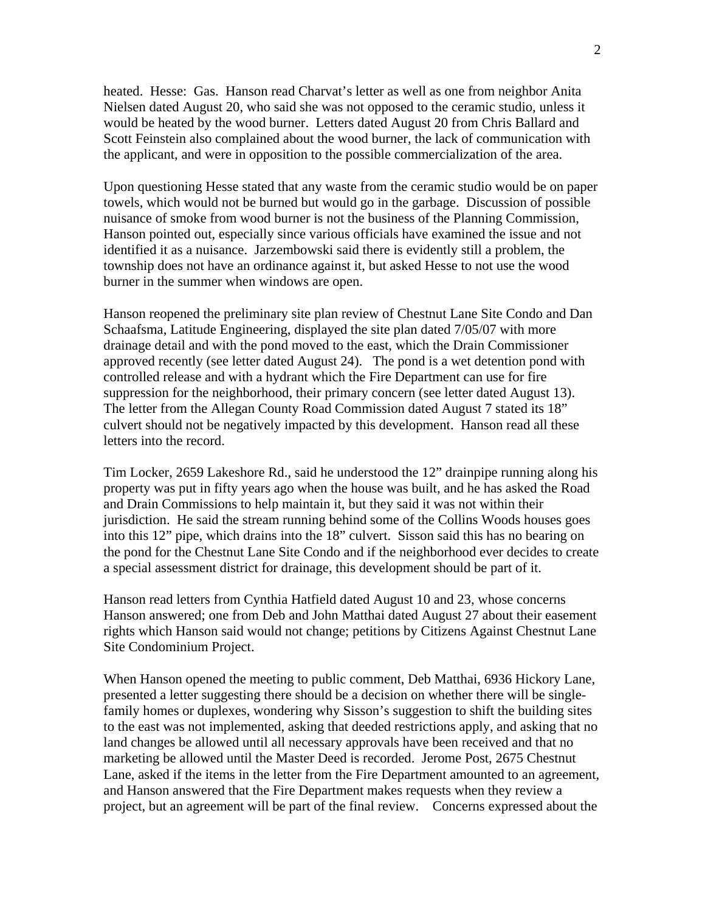heated. Hesse: Gas. Hanson read Charvat's letter as well as one from neighbor Anita Nielsen dated August 20, who said she was not opposed to the ceramic studio, unless it would be heated by the wood burner. Letters dated August 20 from Chris Ballard and Scott Feinstein also complained about the wood burner, the lack of communication with the applicant, and were in opposition to the possible commercialization of the area.

Upon questioning Hesse stated that any waste from the ceramic studio would be on paper towels, which would not be burned but would go in the garbage. Discussion of possible nuisance of smoke from wood burner is not the business of the Planning Commission, Hanson pointed out, especially since various officials have examined the issue and not identified it as a nuisance. Jarzembowski said there is evidently still a problem, the township does not have an ordinance against it, but asked Hesse to not use the wood burner in the summer when windows are open.

Hanson reopened the preliminary site plan review of Chestnut Lane Site Condo and Dan Schaafsma, Latitude Engineering, displayed the site plan dated 7/05/07 with more drainage detail and with the pond moved to the east, which the Drain Commissioner approved recently (see letter dated August 24). The pond is a wet detention pond with controlled release and with a hydrant which the Fire Department can use for fire suppression for the neighborhood, their primary concern (see letter dated August 13). The letter from the Allegan County Road Commission dated August 7 stated its 18" culvert should not be negatively impacted by this development. Hanson read all these letters into the record.

Tim Locker, 2659 Lakeshore Rd., said he understood the 12" drainpipe running along his property was put in fifty years ago when the house was built, and he has asked the Road and Drain Commissions to help maintain it, but they said it was not within their jurisdiction. He said the stream running behind some of the Collins Woods houses goes into this 12" pipe, which drains into the 18" culvert. Sisson said this has no bearing on the pond for the Chestnut Lane Site Condo and if the neighborhood ever decides to create a special assessment district for drainage, this development should be part of it.

Hanson read letters from Cynthia Hatfield dated August 10 and 23, whose concerns Hanson answered; one from Deb and John Matthai dated August 27 about their easement rights which Hanson said would not change; petitions by Citizens Against Chestnut Lane Site Condominium Project.

When Hanson opened the meeting to public comment, Deb Matthai, 6936 Hickory Lane, presented a letter suggesting there should be a decision on whether there will be singlefamily homes or duplexes, wondering why Sisson's suggestion to shift the building sites to the east was not implemented, asking that deeded restrictions apply, and asking that no land changes be allowed until all necessary approvals have been received and that no marketing be allowed until the Master Deed is recorded. Jerome Post, 2675 Chestnut Lane, asked if the items in the letter from the Fire Department amounted to an agreement, and Hanson answered that the Fire Department makes requests when they review a project, but an agreement will be part of the final review. Concerns expressed about the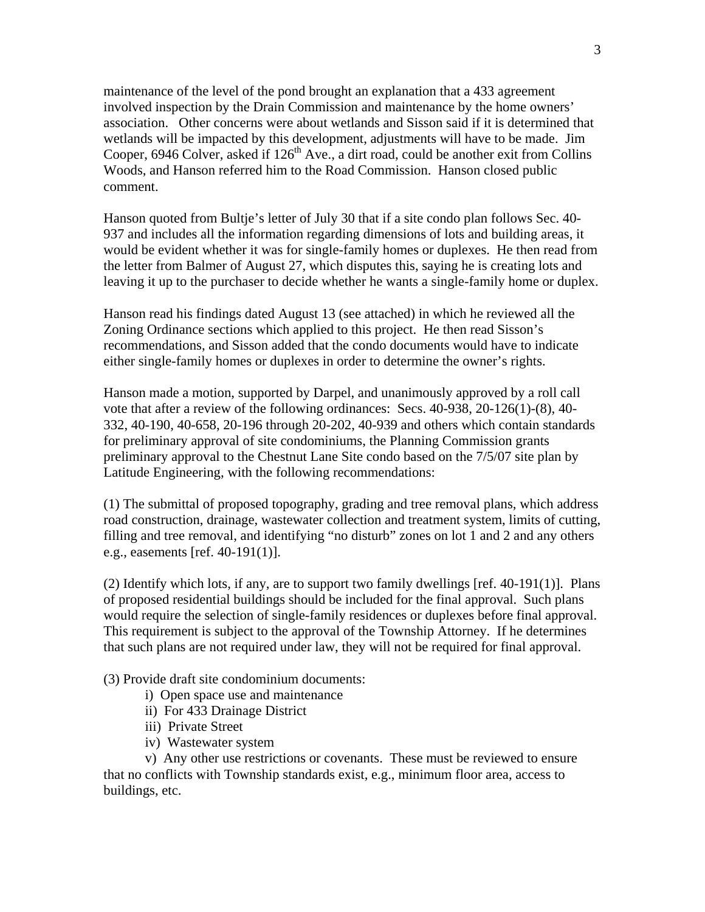maintenance of the level of the pond brought an explanation that a 433 agreement involved inspection by the Drain Commission and maintenance by the home owners' association. Other concerns were about wetlands and Sisson said if it is determined that wetlands will be impacted by this development, adjustments will have to be made. Jim Cooper, 6946 Colver, asked if  $126<sup>th</sup>$  Ave., a dirt road, could be another exit from Collins Woods, and Hanson referred him to the Road Commission. Hanson closed public comment.

Hanson quoted from Bultje's letter of July 30 that if a site condo plan follows Sec. 40- 937 and includes all the information regarding dimensions of lots and building areas, it would be evident whether it was for single-family homes or duplexes. He then read from the letter from Balmer of August 27, which disputes this, saying he is creating lots and leaving it up to the purchaser to decide whether he wants a single-family home or duplex.

Hanson read his findings dated August 13 (see attached) in which he reviewed all the Zoning Ordinance sections which applied to this project. He then read Sisson's recommendations, and Sisson added that the condo documents would have to indicate either single-family homes or duplexes in order to determine the owner's rights.

Hanson made a motion, supported by Darpel, and unanimously approved by a roll call vote that after a review of the following ordinances: Secs. 40-938, 20-126(1)-(8), 40- 332, 40-190, 40-658, 20-196 through 20-202, 40-939 and others which contain standards for preliminary approval of site condominiums, the Planning Commission grants preliminary approval to the Chestnut Lane Site condo based on the 7/5/07 site plan by Latitude Engineering, with the following recommendations:

(1) The submittal of proposed topography, grading and tree removal plans, which address road construction, drainage, wastewater collection and treatment system, limits of cutting, filling and tree removal, and identifying "no disturb" zones on lot 1 and 2 and any others e.g., easements [ref. 40-191(1)].

(2) Identify which lots, if any, are to support two family dwellings [ref. 40-191(1)]. Plans of proposed residential buildings should be included for the final approval. Such plans would require the selection of single-family residences or duplexes before final approval. This requirement is subject to the approval of the Township Attorney. If he determines that such plans are not required under law, they will not be required for final approval.

(3) Provide draft site condominium documents:

- i) Open space use and maintenance
- ii) For 433 Drainage District
- iii) Private Street
- iv) Wastewater system

 v) Any other use restrictions or covenants. These must be reviewed to ensure that no conflicts with Township standards exist, e.g., minimum floor area, access to buildings, etc.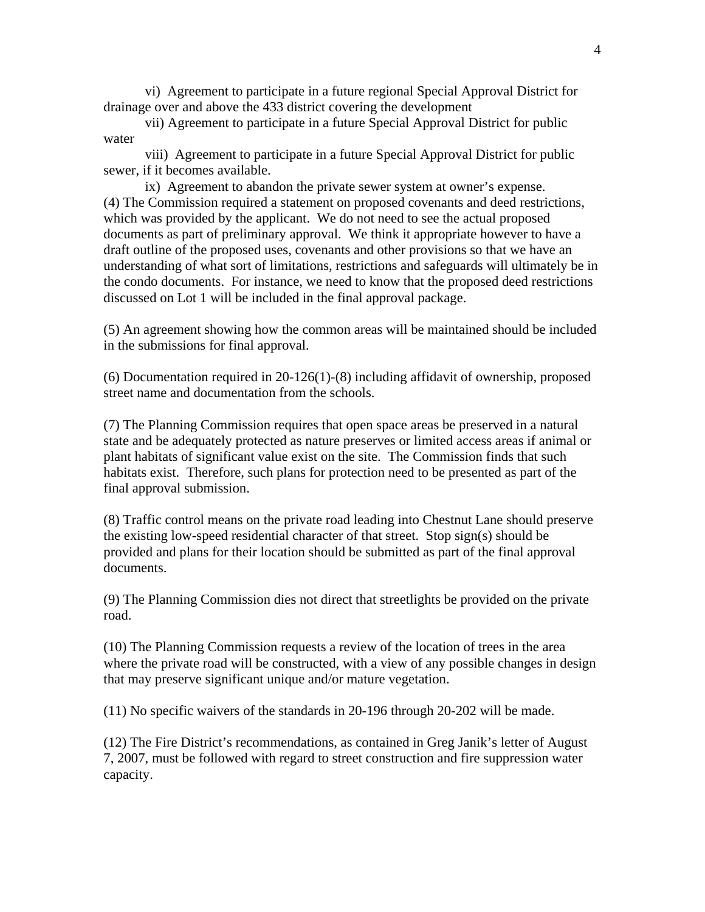vi) Agreement to participate in a future regional Special Approval District for drainage over and above the 433 district covering the development

 vii) Agreement to participate in a future Special Approval District for public water

 viii) Agreement to participate in a future Special Approval District for public sewer, if it becomes available.

 ix) Agreement to abandon the private sewer system at owner's expense. (4) The Commission required a statement on proposed covenants and deed restrictions, which was provided by the applicant. We do not need to see the actual proposed documents as part of preliminary approval. We think it appropriate however to have a draft outline of the proposed uses, covenants and other provisions so that we have an understanding of what sort of limitations, restrictions and safeguards will ultimately be in the condo documents. For instance, we need to know that the proposed deed restrictions discussed on Lot 1 will be included in the final approval package.

(5) An agreement showing how the common areas will be maintained should be included in the submissions for final approval.

(6) Documentation required in 20-126(1)-(8) including affidavit of ownership, proposed street name and documentation from the schools.

(7) The Planning Commission requires that open space areas be preserved in a natural state and be adequately protected as nature preserves or limited access areas if animal or plant habitats of significant value exist on the site. The Commission finds that such habitats exist. Therefore, such plans for protection need to be presented as part of the final approval submission.

(8) Traffic control means on the private road leading into Chestnut Lane should preserve the existing low-speed residential character of that street. Stop sign(s) should be provided and plans for their location should be submitted as part of the final approval documents.

(9) The Planning Commission dies not direct that streetlights be provided on the private road.

(10) The Planning Commission requests a review of the location of trees in the area where the private road will be constructed, with a view of any possible changes in design that may preserve significant unique and/or mature vegetation.

(11) No specific waivers of the standards in 20-196 through 20-202 will be made.

(12) The Fire District's recommendations, as contained in Greg Janik's letter of August 7, 2007, must be followed with regard to street construction and fire suppression water capacity.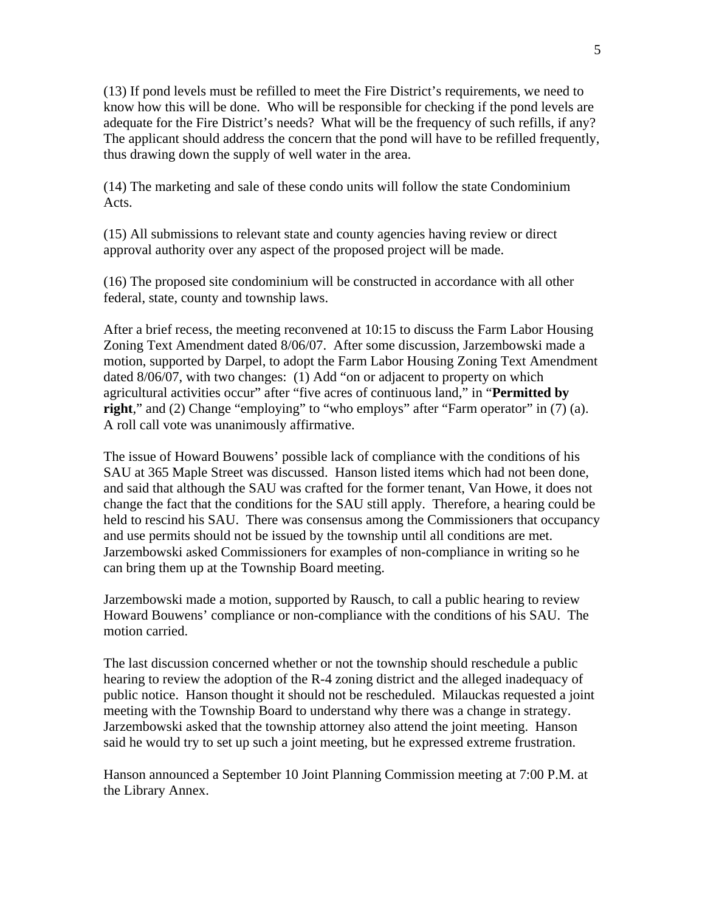(13) If pond levels must be refilled to meet the Fire District's requirements, we need to know how this will be done. Who will be responsible for checking if the pond levels are adequate for the Fire District's needs? What will be the frequency of such refills, if any? The applicant should address the concern that the pond will have to be refilled frequently, thus drawing down the supply of well water in the area.

(14) The marketing and sale of these condo units will follow the state Condominium Acts.

(15) All submissions to relevant state and county agencies having review or direct approval authority over any aspect of the proposed project will be made.

(16) The proposed site condominium will be constructed in accordance with all other federal, state, county and township laws.

After a brief recess, the meeting reconvened at 10:15 to discuss the Farm Labor Housing Zoning Text Amendment dated 8/06/07. After some discussion, Jarzembowski made a motion, supported by Darpel, to adopt the Farm Labor Housing Zoning Text Amendment dated 8/06/07, with two changes: (1) Add "on or adjacent to property on which agricultural activities occur" after "five acres of continuous land," in "**Permitted by right**," and (2) Change "employing" to "who employs" after "Farm operator" in (7) (a). A roll call vote was unanimously affirmative.

The issue of Howard Bouwens' possible lack of compliance with the conditions of his SAU at 365 Maple Street was discussed. Hanson listed items which had not been done, and said that although the SAU was crafted for the former tenant, Van Howe, it does not change the fact that the conditions for the SAU still apply. Therefore, a hearing could be held to rescind his SAU. There was consensus among the Commissioners that occupancy and use permits should not be issued by the township until all conditions are met. Jarzembowski asked Commissioners for examples of non-compliance in writing so he can bring them up at the Township Board meeting.

Jarzembowski made a motion, supported by Rausch, to call a public hearing to review Howard Bouwens' compliance or non-compliance with the conditions of his SAU. The motion carried.

The last discussion concerned whether or not the township should reschedule a public hearing to review the adoption of the R-4 zoning district and the alleged inadequacy of public notice. Hanson thought it should not be rescheduled. Milauckas requested a joint meeting with the Township Board to understand why there was a change in strategy. Jarzembowski asked that the township attorney also attend the joint meeting. Hanson said he would try to set up such a joint meeting, but he expressed extreme frustration.

Hanson announced a September 10 Joint Planning Commission meeting at 7:00 P.M. at the Library Annex.